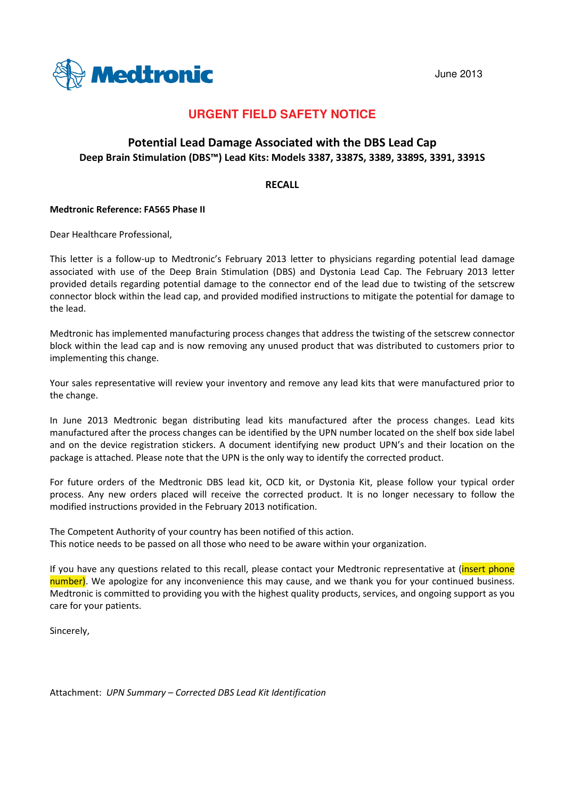



## **URGENT FIELD SAFETY NOTICE**

### Potential Lead Damage Associated with the DBS Lead Cap Deep Brain Stimulation (DBS™) Lead Kits: Models 3387, 3387S, 3389, 3389S, 3391, 3391S

#### **RFCALL**

#### **Medtronic Reference: FA565 Phase II**

Dear Healthcare Professional,

This letter is a follow-up to Medtronic's February 2013 letter to physicians regarding potential lead damage associated with use of the Deep Brain Stimulation (DBS) and Dystonia Lead Cap. The February 2013 letter provided details regarding potential damage to the connector end of the lead due to twisting of the setscrew connector block within the lead cap, and provided modified instructions to mitigate the potential for damage to the lead.

Medtronic has implemented manufacturing process changes that address the twisting of the setscrew connector block within the lead cap and is now removing any unused product that was distributed to customers prior to implementing this change.

Your sales representative will review your inventory and remove any lead kits that were manufactured prior to the change.

In June 2013 Medtronic began distributing lead kits manufactured after the process changes. Lead kits manufactured after the process changes can be identified by the UPN number located on the shelf box side label and on the device registration stickers. A document identifying new product UPN's and their location on the package is attached. Please note that the UPN is the only way to identify the corrected product.

For future orders of the Medtronic DBS lead kit, OCD kit, or Dystonia Kit, please follow your typical order process. Any new orders placed will receive the corrected product. It is no longer necessary to follow the modified instructions provided in the February 2013 notification.

The Competent Authority of your country has been notified of this action. This notice needs to be passed on all those who need to be aware within your organization.

If you have any questions related to this recall, please contact your Medtronic representative at (insert phone number). We apologize for any inconvenience this may cause, and we thank you for your continued business. Medtronic is committed to providing you with the highest quality products, services, and ongoing support as you care for your patients.

Sincerely.

Attachment: UPN Summary - Corrected DBS Lead Kit Identification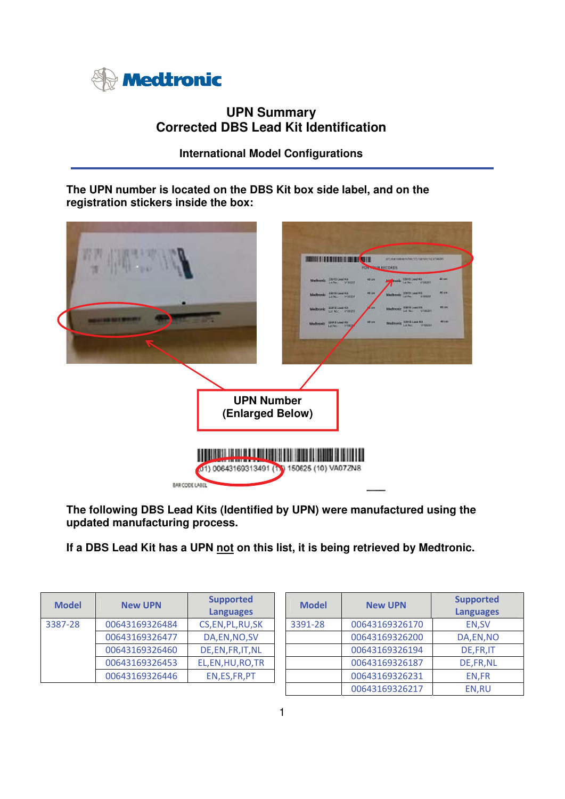

# **UPN Summary Corrected DBS Lead Kit Identification**

**International Model Configurations** 

**The UPN number is located on the DBS Kit box side label, and on the registration stickers inside the box:** 



**The following DBS Lead Kits (Identified by UPN) were manufactured using the updated manufacturing process.** 

**If a DBS Lead Kit has a UPN not on this list, it is being retrieved by Medtronic.** 

| <b>Model</b> | <b>New UPN</b> | <b>Supported</b><br><b>Languages</b> | <b>Model</b> | <b>New UPN</b> | <b>Supporte</b><br><b>Languago</b> |
|--------------|----------------|--------------------------------------|--------------|----------------|------------------------------------|
| 3387-28      | 00643169326484 | CS, EN, PL, RU, SK                   | 3391-28      | 00643169326170 | EN, SV                             |
|              | 00643169326477 | DA, EN, NO, SV                       |              | 00643169326200 | DA,EN,N                            |
|              | 00643169326460 | DE, EN, FR, IT, NL                   |              | 00643169326194 | DE, FR, I                          |
|              | 00643169326453 | EL, EN, HU, RO, TR                   |              | 00643169326187 | DE, FR, N                          |
|              | 00643169326446 | EN, ES, FR, PT                       |              | 00643169326231 | EN,FR                              |

| <b>New UPN</b> | <b>Supported</b><br><b>Languages</b> | <b>Model</b> | <b>New UPN</b> | <b>Supported</b><br><b>Languages</b> |
|----------------|--------------------------------------|--------------|----------------|--------------------------------------|
| 00643169326484 | CS, EN, PL, RU, SK                   | 3391-28      | 00643169326170 | EN, SV                               |
| 00643169326477 | DA, EN, NO, SV                       |              | 00643169326200 | DA, EN, NO                           |
| 00643169326460 | DE, EN, FR, IT, NL                   |              | 00643169326194 | DE, FR, IT                           |
| 00643169326453 | EL, EN, HU, RO, TR                   |              | 00643169326187 | DE, FR, NL                           |
| 00643169326446 | EN, ES, FR, PT                       |              | 00643169326231 | EN, FR                               |
|                |                                      |              | 00643169326217 | EN,RU                                |